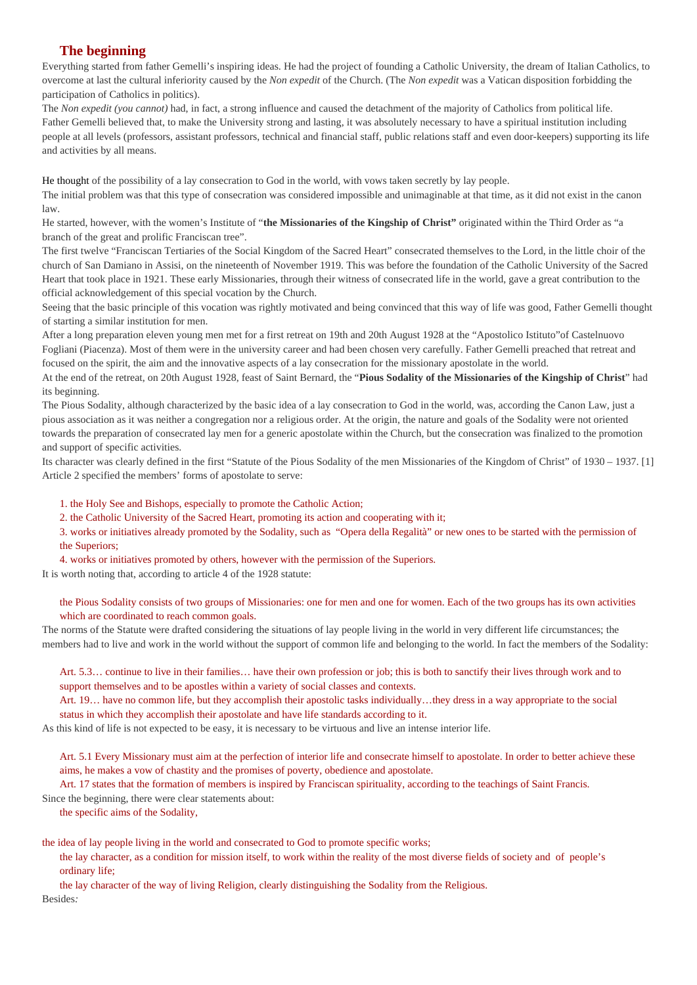# **The beginning**

Everything started from father Gemelli's inspiring ideas. He had the project of founding a Catholic University, the dream of Italian Catholics, to overcome at last the cultural inferiority caused by the *Non expedit* of the Church. (The *Non expedit* was a Vatican disposition forbidding the participation of Catholics in politics).

The *Non expedit (you cannot)* had, in fact, a strong influence and caused the detachment of the majority of Catholics from political life. Father Gemelli believed that, to make the University strong and lasting, it was absolutely necessary to have a spiritual institution including people at all levels (professors, assistant professors, technical and financial staff, public relations staff and even door-keepers) supporting its life and activities by all means.

He thought of the possibility of a lay consecration to God in the world, with vows taken secretly by lay people.

The initial problem was that this type of consecration was considered impossible and unimaginable at that time, as it did not exist in the canon law.

He started, however, with the women's Institute of "**the Missionaries of the Kingship of Christ"** originated within the Third Order as "a branch of the great and prolific Franciscan tree".

The first twelve "Franciscan Tertiaries of the Social Kingdom of the Sacred Heart" consecrated themselves to the Lord, in the little choir of the church of San Damiano in Assisi, on the nineteenth of November 1919. This was before the foundation of the Catholic University of the Sacred Heart that took place in 1921. These early Missionaries, through their witness of consecrated life in the world, gave a great contribution to the official acknowledgement of this special vocation by the Church.

Seeing that the basic principle of this vocation was rightly motivated and being convinced that this way of life was good, Father Gemelli thought of starting a similar institution for men.

After a long preparation eleven young men met for a first retreat on 19th and 20th August 1928 at the "Apostolico Istituto"of Castelnuovo Fogliani (Piacenza). Most of them were in the university career and had been chosen very carefully. Father Gemelli preached that retreat and focused on the spirit, the aim and the innovative aspects of a lay consecration for the missionary apostolate in the world.

At the end of the retreat, on 20th August 1928, feast of Saint Bernard, the "**Pious Sodality of the Missionaries of the Kingship of Christ**" had its beginning.

The Pious Sodality, although characterized by the basic idea of a lay consecration to God in the world, was, according the Canon Law, just a pious association as it was neither a congregation nor a religious order. At the origin, the nature and goals of the Sodality were not oriented towards the preparation of consecrated lay men for a generic apostolate within the Church, but the consecration was finalized to the promotion and support of specific activities.

Its character was clearly defined in the first "Statute of the Pious Sodality of the men Missionaries of the Kingdom of Christ" of 1930 – 1937. [1] Article 2 specified the members' forms of apostolate to serve:

1. the Holy See and Bishops, especially to promote the Catholic Action;

2. the Catholic University of the Sacred Heart, promoting its action and cooperating with it;

3. works or initiatives already promoted by the Sodality, such as "Opera della Regalità" or new ones to be started with the permission of the Superiors;

4. works or initiatives promoted by others, however with the permission of the Superiors.

It is worth noting that, according to article 4 of the 1928 statute:

the Pious Sodality consists of two groups of Missionaries: one for men and one for women. Each of the two groups has its own activities which are coordinated to reach common goals.

The norms of the Statute were drafted considering the situations of lay people living in the world in very different life circumstances; the members had to live and work in the world without the support of common life and belonging to the world. In fact the members of the Sodality:

Art. 5.3… continue to live in their families… have their own profession or job; this is both to sanctify their lives through work and to support themselves and to be apostles within a variety of social classes and contexts.

Art. 19… have no common life, but they accomplish their apostolic tasks individually…they dress in a way appropriate to the social status in which they accomplish their apostolate and have life standards according to it.

As this kind of life is not expected to be easy, it is necessary to be virtuous and live an intense interior life.

Art. 5.1 Every Missionary must aim at the perfection of interior life and consecrate himself to apostolate. In order to better achieve these aims, he makes a vow of chastity and the promises of poverty, obedience and apostolate.

Art. 17 states that the formation of members is inspired by Franciscan spirituality, according to the teachings of Saint Francis. Since the beginning, there were clear statements about:

the specific aims of the Sodality,

the idea of lay people living in the world and consecrated to God to promote specific works;

the lay character, as a condition for mission itself, to work within the reality of the most diverse fields of society and of people's ordinary life;

the lay character of the way of living Religion, clearly distinguishing the Sodality from the Religious. Besides*:*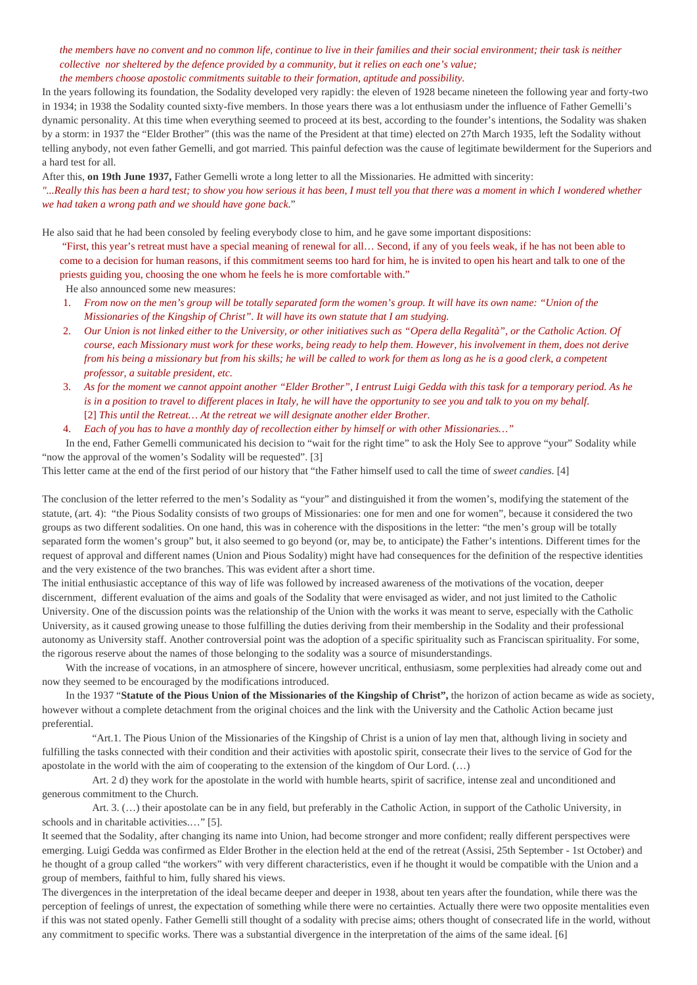## *the members have no convent and no common life, continue to live in their families and their social environment; their task is neither collective nor sheltered by the defence provided by a community, but it relies on each one's value; the members choose apostolic commitments suitable to their formation, aptitude and possibility.*

In the years following its foundation, the Sodality developed very rapidly: the eleven of 1928 became nineteen the following year and forty-two in 1934; in 1938 the Sodality counted sixty-five members. In those years there was a lot enthusiasm under the influence of Father Gemelli's dynamic personality. At this time when everything seemed to proceed at its best, according to the founder's intentions, the Sodality was shaken by a storm: in 1937 the "Elder Brother" (this was the name of the President at that time) elected on 27th March 1935, left the Sodality without telling anybody, not even father Gemelli, and got married. This painful defection was the cause of legitimate bewilderment for the Superiors and a hard test for all.

After this, **on 19th June 1937,** Father Gemelli wrote a long letter to all the Missionaries. He admitted with sincerity:

*"...Really this has been a hard test; to show you how serious it has been, I must tell you that there was a moment in which I wondered whether we had taken a wrong path and we should have gone back*."

He also said that he had been consoled by feeling everybody close to him, and he gave some important dispositions:

"First, this year's retreat must have a special meaning of renewal for all… Second, if any of you feels weak, if he has not been able to come to a decision for human reasons, if this commitment seems too hard for him, he is invited to open his heart and talk to one of the priests guiding you, choosing the one whom he feels he is more comfortable with."

He also announced some new measures:

- 1. *From now on the men's group will be totally separated form the women's group. It will have its own name: "Union of the Missionaries of the Kingship of Christ". It will have its own statute that I am studying.*
- 2. *Our Union is not linked either to the University, or other initiatives such as "Opera della Regalità", or the Catholic Action. Of course, each Missionary must work for these works, being ready to help them. However, his involvement in them, does not derive from his being a missionary but from his skills; he will be called to work for them as long as he is a good clerk, a competent professor, a suitable president, etc.*
- 3. *As for the moment we cannot appoint another "Elder Brother", I entrust Luigi Gedda with this task for a temporary period. As he is in a position to travel to different places in Italy, he will have the opportunity to see you and talk to you on my behalf.* [2] *This until the Retreat… At the retreat we will designate another elder Brother.*
- 4. *Each of you has to have a monthly day of recollection either by himself or with other Missionaries…"*

 In the end, Father Gemelli communicated his decision to "wait for the right time" to ask the Holy See to approve "your" Sodality while "now the approval of the women's Sodality will be requested". [3]

This letter came at the end of the first period of our history that "the Father himself used to call the time of *sweet candies*. [4]

The conclusion of the letter referred to the men's Sodality as "your" and distinguished it from the women's, modifying the statement of the statute, (art. 4): "the Pious Sodality consists of two groups of Missionaries: one for men and one for women", because it considered the two groups as two different sodalities. On one hand, this was in coherence with the dispositions in the letter: "the men's group will be totally separated form the women's group" but, it also seemed to go beyond (or, may be, to anticipate) the Father's intentions. Different times for the request of approval and different names (Union and Pious Sodality) might have had consequences for the definition of the respective identities and the very existence of the two branches. This was evident after a short time.

The initial enthusiastic acceptance of this way of life was followed by increased awareness of the motivations of the vocation, deeper discernment, different evaluation of the aims and goals of the Sodality that were envisaged as wider, and not just limited to the Catholic University. One of the discussion points was the relationship of the Union with the works it was meant to serve, especially with the Catholic University, as it caused growing unease to those fulfilling the duties deriving from their membership in the Sodality and their professional autonomy as University staff. Another controversial point was the adoption of a specific spirituality such as Franciscan spirituality. For some, the rigorous reserve about the names of those belonging to the sodality was a source of misunderstandings.

 With the increase of vocations, in an atmosphere of sincere, however uncritical, enthusiasm, some perplexities had already come out and now they seemed to be encouraged by the modifications introduced.

 In the 1937 "**Statute of the Pious Union of the Missionaries of the Kingship of Christ",** the horizon of action became as wide as society, however without a complete detachment from the original choices and the link with the University and the Catholic Action became just preferential.

 "Art.1. The Pious Union of the Missionaries of the Kingship of Christ is a union of lay men that, although living in society and fulfilling the tasks connected with their condition and their activities with apostolic spirit, consecrate their lives to the service of God for the apostolate in the world with the aim of cooperating to the extension of the kingdom of Our Lord. (…)

 Art. 2 d) they work for the apostolate in the world with humble hearts, spirit of sacrifice, intense zeal and unconditioned and generous commitment to the Church.

Art. 3.  $(...)$  their apostolate can be in any field, but preferably in the Catholic Action, in support of the Catholic University, in schools and in charitable activities.…" [5].

It seemed that the Sodality, after changing its name into Union, had become stronger and more confident; really different perspectives were emerging. Luigi Gedda was confirmed as Elder Brother in the election held at the end of the retreat (Assisi, 25th September - 1st October) and he thought of a group called "the workers" with very different characteristics, even if he thought it would be compatible with the Union and a group of members, faithful to him, fully shared his views.

The divergences in the interpretation of the ideal became deeper and deeper in 1938, about ten years after the foundation, while there was the perception of feelings of unrest, the expectation of something while there were no certainties. Actually there were two opposite mentalities even if this was not stated openly. Father Gemelli still thought of a sodality with precise aims; others thought of consecrated life in the world, without any commitment to specific works. There was a substantial divergence in the interpretation of the aims of the same ideal. [6]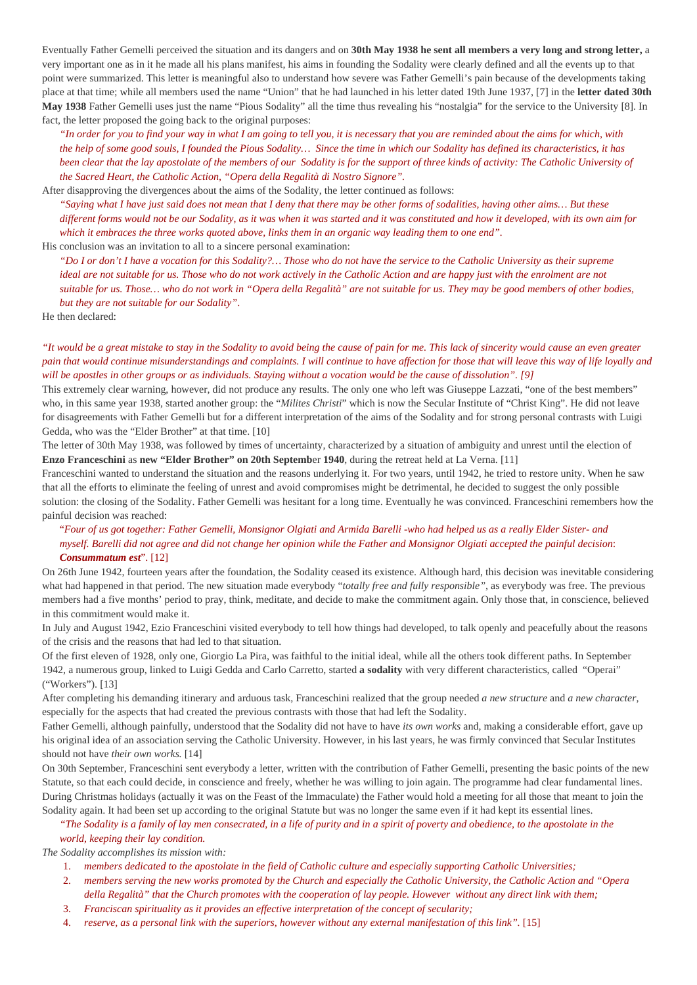Eventually Father Gemelli perceived the situation and its dangers and on **30th May 1938 he sent all members a very long and strong letter,** a very important one as in it he made all his plans manifest, his aims in founding the Sodality were clearly defined and all the events up to that point were summarized. This letter is meaningful also to understand how severe was Father Gemelli's pain because of the developments taking place at that time; while all members used the name "Union" that he had launched in his letter dated 19th June 1937, [7] in the **letter dated 30th May 1938** Father Gemelli uses just the name "Pious Sodality" all the time thus revealing his "nostalgia" for the service to the University [8]. In fact, the letter proposed the going back to the original purposes:

*"In order for you to find your way in what I am going to tell you, it is necessary that you are reminded about the aims for which, with the help of some good souls, I founded the Pious Sodality… Since the time in which our Sodality has defined its characteristics, it has been clear that the lay apostolate of the members of our Sodality is for the support of three kinds of activity: The Catholic University of the Sacred Heart, the Catholic Action, "Opera della Regalità di Nostro Signore".*

After disapproving the divergences about the aims of the Sodality, the letter continued as follows:

*"Saying what I have just said does not mean that I deny that there may be other forms of sodalities, having other aims… But these different forms would not be our Sodality, as it was when it was started and it was constituted and how it developed, with its own aim for which it embraces the three works quoted above, links them in an organic way leading them to one end".*

His conclusion was an invitation to all to a sincere personal examination:

*"Do I or don't I have a vocation for this Sodality?… Those who do not have the service to the Catholic University as their supreme ideal are not suitable for us. Those who do not work actively in the Catholic Action and are happy just with the enrolment are not suitable for us. Those… who do not work in "Opera della Regalità" are not suitable for us. They may be good members of other bodies, but they are not suitable for our Sodality"*.

He then declared:

*"It would be a great mistake to stay in the Sodality to avoid being the cause of pain for me. This lack of sincerity would cause an even greater*  pain that would continue misunderstandings and complaints. I will continue to have affection for those that will leave this way of life loyally and *will be apostles in other groups or as individuals. Staying without a vocation would be the cause of dissolution". [9]* 

This extremely clear warning, however, did not produce any results. The only one who left was Giuseppe Lazzati, "one of the best members" who, in this same year 1938, started another group: the "*Milites Christi*" which is now the Secular Institute of "Christ King". He did not leave for disagreements with Father Gemelli but for a different interpretation of the aims of the Sodality and for strong personal contrasts with Luigi Gedda, who was the "Elder Brother" at that time. [10]

The letter of 30th May 1938, was followed by times of uncertainty, characterized by a situation of ambiguity and unrest until the election of **Enzo Franceschini** as **new "Elder Brother" on 20th Septemb**er **1940**, during the retreat held at La Verna. [11]

Franceschini wanted to understand the situation and the reasons underlying it. For two years, until 1942, he tried to restore unity. When he saw that all the efforts to eliminate the feeling of unrest and avoid compromises might be detrimental, he decided to suggest the only possible solution: the closing of the Sodality. Father Gemelli was hesitant for a long time. Eventually he was convinced. Franceschini remembers how the painful decision was reached:

# "*Four of us got together: Father Gemelli, Monsignor Olgiati and Armida Barelli -who had helped us as a really Elder Sister- and myself. Barelli did not agree and did not change her opinion while the Father and Monsignor Olgiati accepted the painful decision*: *Consummatum est*". [12]

On 26th June 1942, fourteen years after the foundation, the Sodality ceased its existence. Although hard, this decision was inevitable considering what had happened in that period. The new situation made everybody "*totally free and fully responsible"*, as everybody was free. The previous members had a five months' period to pray, think, meditate, and decide to make the commitment again. Only those that, in conscience, believed in this commitment would make it.

In July and August 1942, Ezio Franceschini visited everybody to tell how things had developed, to talk openly and peacefully about the reasons of the crisis and the reasons that had led to that situation.

Of the first eleven of 1928, only one, Giorgio La Pira, was faithful to the initial ideal, while all the others took different paths. In September 1942, a numerous group, linked to Luigi Gedda and Carlo Carretto, started **a sodality** with very different characteristics, called "Operai" ("Workers"). [13]

After completing his demanding itinerary and arduous task, Franceschini realized that the group needed *a new structure* and *a new character*, especially for the aspects that had created the previous contrasts with those that had left the Sodality.

Father Gemelli, although painfully, understood that the Sodality did not have to have *its own works* and, making a considerable effort, gave up his original idea of an association serving the Catholic University. However, in his last years, he was firmly convinced that Secular Institutes should not have *their own works.* [14]

On 30th September, Franceschini sent everybody a letter, written with the contribution of Father Gemelli, presenting the basic points of the new Statute, so that each could decide, in conscience and freely, whether he was willing to join again. The programme had clear fundamental lines. During Christmas holidays (actually it was on the Feast of the Immaculate) the Father would hold a meeting for all those that meant to join the Sodality again. It had been set up according to the original Statute but was no longer the same even if it had kept its essential lines.

## *"The Sodality is a family of lay men consecrated, in a life of purity and in a spirit of poverty and obedience, to the apostolate in the world, keeping their lay condition.*

*The Sodality accomplishes its mission with:*

- 1. *members dedicated to the apostolate in the field of Catholic culture and especially supporting Catholic Universities;*
- 2. *members serving the new works promoted by the Church and especially the Catholic University, the Catholic Action and "Opera della Regalità" that the Church promotes with the cooperation of lay people. However without any direct link with them;*
- 3. *Franciscan spirituality as it provides an effective interpretation of the concept of secularity;*
- 4. *reserve, as a personal link with the superiors, however without any external manifestation of this link".* [15]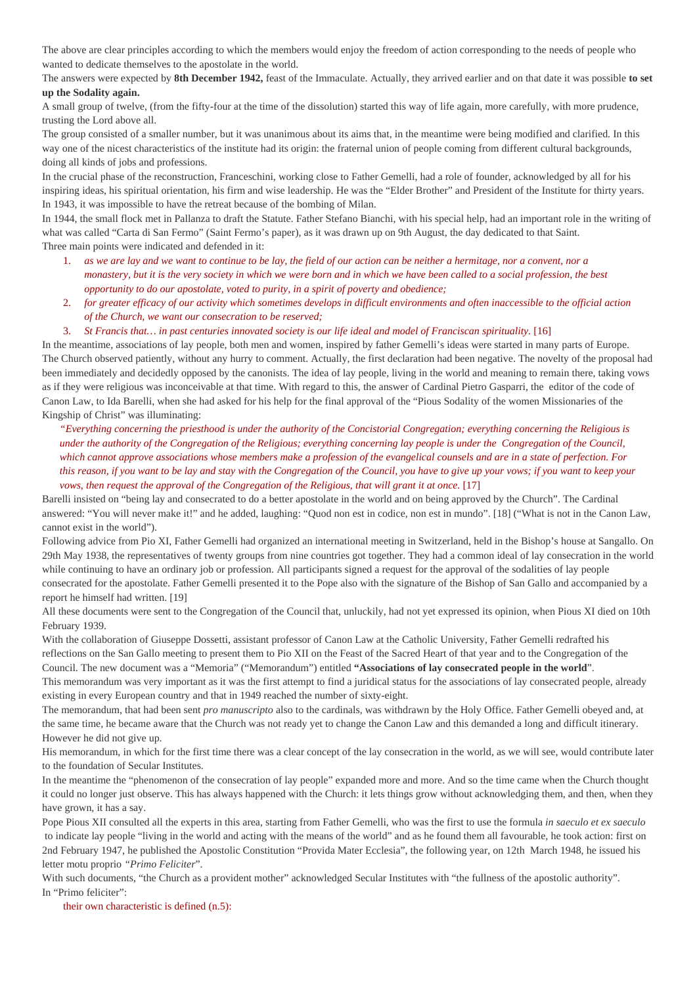The above are clear principles according to which the members would enjoy the freedom of action corresponding to the needs of people who wanted to dedicate themselves to the apostolate in the world.

The answers were expected by **8th December 1942,** feast of the Immaculate. Actually, they arrived earlier and on that date it was possible **to set up the Sodality again.**

A small group of twelve, (from the fifty-four at the time of the dissolution) started this way of life again, more carefully, with more prudence, trusting the Lord above all.

The group consisted of a smaller number, but it was unanimous about its aims that, in the meantime were being modified and clarified. In this way one of the nicest characteristics of the institute had its origin: the fraternal union of people coming from different cultural backgrounds, doing all kinds of jobs and professions.

In the crucial phase of the reconstruction, Franceschini, working close to Father Gemelli, had a role of founder, acknowledged by all for his inspiring ideas, his spiritual orientation, his firm and wise leadership. He was the "Elder Brother" and President of the Institute for thirty years. In 1943, it was impossible to have the retreat because of the bombing of Milan.

In 1944, the small flock met in Pallanza to draft the Statute. Father Stefano Bianchi, with his special help, had an important role in the writing of what was called "Carta di San Fermo" (Saint Fermo's paper), as it was drawn up on 9th August, the day dedicated to that Saint. Three main points were indicated and defended in it:

- 1. *as we are lay and we want to continue to be lay, the field of our action can be neither a hermitage, nor a convent, nor a monastery, but it is the very society in which we were born and in which we have been called to a social profession, the best opportunity to do our apostolate, voted to purity, in a spirit of poverty and obedience;*
- 2. *for greater efficacy of our activity which sometimes develops in difficult environments and often inaccessible to the official action of the Church, we want our consecration to be reserved;*
- 3. *St Francis that... in past centuries innovated society is our life ideal and model of Franciscan spirituality.* [16]

In the meantime, associations of lay people, both men and women, inspired by father Gemelli's ideas were started in many parts of Europe. The Church observed patiently, without any hurry to comment. Actually, the first declaration had been negative. The novelty of the proposal had been immediately and decidedly opposed by the canonists. The idea of lay people, living in the world and meaning to remain there, taking vows as if they were religious was inconceivable at that time. With regard to this, the answer of Cardinal Pietro Gasparri, the editor of the code of Canon Law, to Ida Barelli, when she had asked for his help for the final approval of the "Pious Sodality of the women Missionaries of the Kingship of Christ" was illuminating:

*"Everything concerning the priesthood is under the authority of the Concistorial Congregation; everything concerning the Religious is under the authority of the Congregation of the Religious; everything concerning lay people is under the Congregation of the Council, which cannot approve associations whose members make a profession of the evangelical counsels and are in a state of perfection. For this reason, if you want to be lay and stay with the Congregation of the Council, you have to give up your vows; if you want to keep your vows, then request the approval of the Congregation of the Religious, that will grant it at once.* [17]

Barelli insisted on "being lay and consecrated to do a better apostolate in the world and on being approved by the Church". The Cardinal answered: "You will never make it!" and he added, laughing: "Quod non est in codice, non est in mundo". [18] ("What is not in the Canon Law, cannot exist in the world").

Following advice from Pio XI, Father Gemelli had organized an international meeting in Switzerland, held in the Bishop's house at Sangallo. On 29th May 1938, the representatives of twenty groups from nine countries got together. They had a common ideal of lay consecration in the world while continuing to have an ordinary job or profession. All participants signed a request for the approval of the sodalities of lay people consecrated for the apostolate. Father Gemelli presented it to the Pope also with the signature of the Bishop of San Gallo and accompanied by a report he himself had written. [19]

All these documents were sent to the Congregation of the Council that, unluckily, had not yet expressed its opinion, when Pious XI died on 10th February 1939.

With the collaboration of Giuseppe Dossetti, assistant professor of Canon Law at the Catholic University, Father Gemelli redrafted his reflections on the San Gallo meeting to present them to Pio XII on the Feast of the Sacred Heart of that year and to the Congregation of the Council. The new document was a "Memoria" ("Memorandum") entitled **"Associations of lay consecrated people in the world**".

This memorandum was very important as it was the first attempt to find a juridical status for the associations of lay consecrated people, already existing in every European country and that in 1949 reached the number of sixty-eight.

The memorandum, that had been sent *pro manuscripto* also to the cardinals, was withdrawn by the Holy Office. Father Gemelli obeyed and, at the same time, he became aware that the Church was not ready yet to change the Canon Law and this demanded a long and difficult itinerary. However he did not give up.

His memorandum, in which for the first time there was a clear concept of the lay consecration in the world, as we will see, would contribute later to the foundation of Secular Institutes.

In the meantime the "phenomenon of the consecration of lay people" expanded more and more. And so the time came when the Church thought it could no longer just observe. This has always happened with the Church: it lets things grow without acknowledging them, and then, when they have grown, it has a say.

Pope Pious XII consulted all the experts in this area, starting from Father Gemelli, who was the first to use the formula *in saeculo et ex saeculo*  to indicate lay people "living in the world and acting with the means of the world" and as he found them all favourable, he took action: first on 2nd February 1947, he published the Apostolic Constitution "Provida Mater Ecclesia", the following year, on 12th March 1948, he issued his letter motu proprio *"Primo Feliciter*".

With such documents, "the Church as a provident mother" acknowledged Secular Institutes with "the fullness of the apostolic authority". In "Primo feliciter":

their own characteristic is defined (n.5):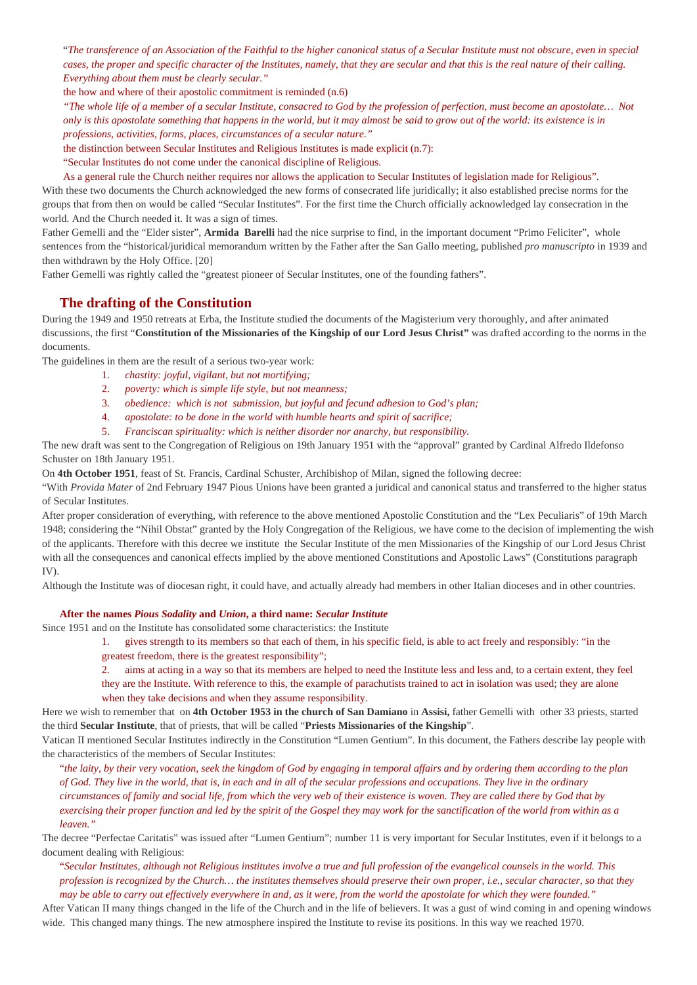"*The transference of an Association of the Faithful to the higher canonical status of a Secular Institute must not obscure, even in special cases, the proper and specific character of the Institutes, namely, that they are secular and that this is the real nature of their calling. Everything about them must be clearly secular."* 

the how and where of their apostolic commitment is reminded (n.6)

*"The whole life of a member of a secular Institute, consacred to God by the profession of perfection, must become an apostolate… Not only is this apostolate something that happens in the world, but it may almost be said to grow out of the world: its existence is in professions, activities, forms, places, circumstances of a secular nature."*

the distinction between Secular Institutes and Religious Institutes is made explicit (n.7):

"Secular Institutes do not come under the canonical discipline of Religious.

As a general rule the Church neither requires nor allows the application to Secular Institutes of legislation made for Religious". With these two documents the Church acknowledged the new forms of consecrated life juridically; it also established precise norms for the

groups that from then on would be called "Secular Institutes". For the first time the Church officially acknowledged lay consecration in the world. And the Church needed it. It was a sign of times.

Father Gemelli and the "Elder sister", **Armida Barelli** had the nice surprise to find, in the important document "Primo Feliciter", whole sentences from the "historical/juridical memorandum written by the Father after the San Gallo meeting, published *pro manuscripto* in 1939 and then withdrawn by the Holy Office. [20]

Father Gemelli was rightly called the "greatest pioneer of Secular Institutes, one of the founding fathers".

# **The drafting of the Constitution**

During the 1949 and 1950 retreats at Erba, the Institute studied the documents of the Magisterium very thoroughly, and after animated discussions, the first "**Constitution of the Missionaries of the Kingship of our Lord Jesus Christ"** was drafted according to the norms in the documents.

The guidelines in them are the result of a serious two-year work:

- 1. *chastity: joyful, vigilant, but not mortifying;*
- 2. *poverty: which is simple life style, but not meanness;*
- 3. *obedience: which is not submission, but joyful and fecund adhesion to God's plan;*
- 4. *apostolate: to be done in the world with humble hearts and spirit of sacrifice;*
- 5. *Franciscan spirituality: which is neither disorder nor anarchy, but responsibility.*

The new draft was sent to the Congregation of Religious on 19th January 1951 with the "approval" granted by Cardinal Alfredo Ildefonso Schuster on 18th January 1951.

On **4th October 1951**, feast of St. Francis, Cardinal Schuster, Archibishop of Milan, signed the following decree:

"With *Provida Mater* of 2nd February 1947 Pious Unions have been granted a juridical and canonical status and transferred to the higher status of Secular Institutes.

After proper consideration of everything, with reference to the above mentioned Apostolic Constitution and the "Lex Peculiaris" of 19th March 1948; considering the "Nihil Obstat" granted by the Holy Congregation of the Religious, we have come to the decision of implementing the wish of the applicants. Therefore with this decree we institute the Secular Institute of the men Missionaries of the Kingship of our Lord Jesus Christ with all the consequences and canonical effects implied by the above mentioned Constitutions and Apostolic Laws" (Constitutions paragraph IV).

Although the Institute was of diocesan right, it could have, and actually already had members in other Italian dioceses and in other countries.

### **After the names** *Pious Sodality* **and** *Union***, a third name:** *Secular Institute*

Since 1951 and on the Institute has consolidated some characteristics: the Institute

- 1. gives strength to its members so that each of them, in his specific field, is able to act freely and responsibly: "in the
- greatest freedom, there is the greatest responsibility";
- 2. aims at acting in a way so that its members are helped to need the Institute less and less and, to a certain extent, they feel

they are the Institute. With reference to this, the example of parachutists trained to act in isolation was used; they are alone when they take decisions and when they assume responsibility.

Here we wish to remember that on **4th October 1953 in the church of San Damiano** in **Assisi,** father Gemelli with other 33 priests, started the third **Secular Institute**, that of priests, that will be called "**Priests Missionaries of the Kingship**".

Vatican II mentioned Secular Institutes indirectly in the Constitution "Lumen Gentium". In this document, the Fathers describe lay people with the characteristics of the members of Secular Institutes:

"*the laity, by their very vocation, seek the kingdom of God by engaging in temporal affairs and by ordering them according to the plan of God. They live in the world, that is, in each and in all of the secular professions and occupations. They live in the ordinary circumstances of family and social life, from which the very web of their existence is woven. They are called there by God that by exercising their proper function and led by the spirit of the Gospel they may work for the sanctification of the world from within as a leaven."*

The decree "Perfectae Caritatis" was issued after "Lumen Gentium"; number 11 is very important for Secular Institutes, even if it belongs to a document dealing with Religious:

"*Secular Institutes, although not Religious institutes involve a true and full profession of the evangelical counsels in the world. This profession is recognized by the Church… the institutes themselves should preserve their own proper, i.e., secular character, so that they may be able to carry out effectively everywhere in and, as it were, from the world the apostolate for which they were founded."*

After Vatican II many things changed in the life of the Church and in the life of believers. It was a gust of wind coming in and opening windows wide. This changed many things. The new atmosphere inspired the Institute to revise its positions. In this way we reached 1970.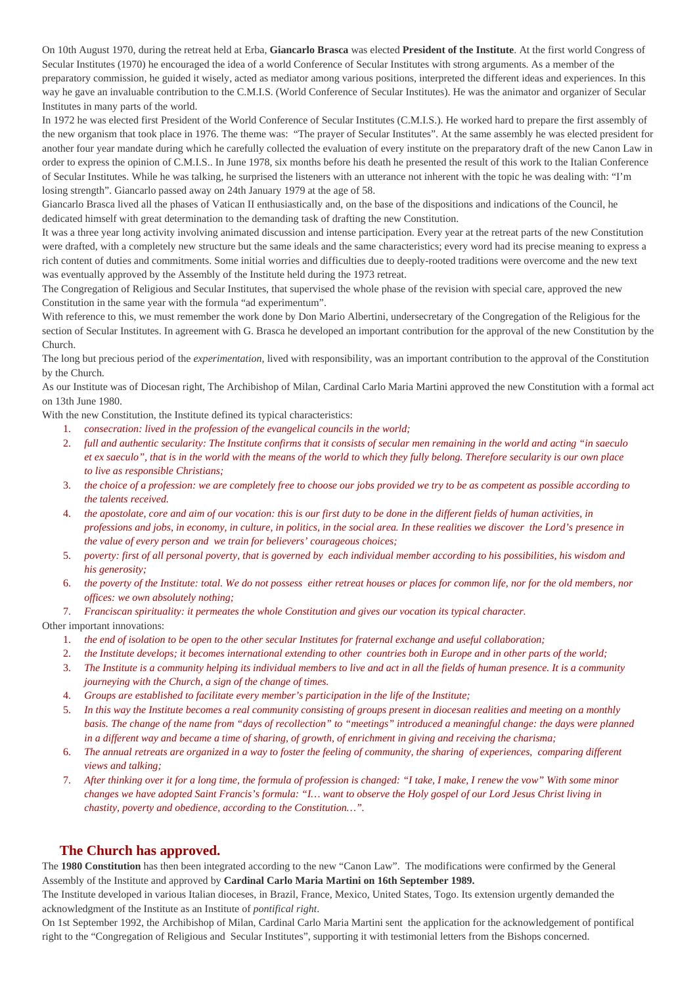On 10th August 1970, during the retreat held at Erba, **Giancarlo Brasca** was elected **President of the Institute**. At the first world Congress of Secular Institutes (1970) he encouraged the idea of a world Conference of Secular Institutes with strong arguments. As a member of the preparatory commission, he guided it wisely, acted as mediator among various positions, interpreted the different ideas and experiences. In this way he gave an invaluable contribution to the C.M.I.S. (World Conference of Secular Institutes). He was the animator and organizer of Secular Institutes in many parts of the world.

In 1972 he was elected first President of the World Conference of Secular Institutes (C.M.I.S.). He worked hard to prepare the first assembly of the new organism that took place in 1976. The theme was: "The prayer of Secular Institutes". At the same assembly he was elected president for another four year mandate during which he carefully collected the evaluation of every institute on the preparatory draft of the new Canon Law in order to express the opinion of C.M.I.S.. In June 1978, six months before his death he presented the result of this work to the Italian Conference of Secular Institutes. While he was talking, he surprised the listeners with an utterance not inherent with the topic he was dealing with: "I'm losing strength". Giancarlo passed away on 24th January 1979 at the age of 58.

Giancarlo Brasca lived all the phases of Vatican II enthusiastically and, on the base of the dispositions and indications of the Council, he dedicated himself with great determination to the demanding task of drafting the new Constitution.

It was a three year long activity involving animated discussion and intense participation. Every year at the retreat parts of the new Constitution were drafted, with a completely new structure but the same ideals and the same characteristics; every word had its precise meaning to express a rich content of duties and commitments. Some initial worries and difficulties due to deeply-rooted traditions were overcome and the new text was eventually approved by the Assembly of the Institute held during the 1973 retreat.

The Congregation of Religious and Secular Institutes, that supervised the whole phase of the revision with special care, approved the new Constitution in the same year with the formula "ad experimentum".

With reference to this, we must remember the work done by Don Mario Albertini, undersecretary of the Congregation of the Religious for the section of Secular Institutes. In agreement with G. Brasca he developed an important contribution for the approval of the new Constitution by the Church.

The long but precious period of the *experimentation,* lived with responsibility, was an important contribution to the approval of the Constitution by the Church.

As our Institute was of Diocesan right, The Archibishop of Milan, Cardinal Carlo Maria Martini approved the new Constitution with a formal act on 13th June 1980.

With the new Constitution, the Institute defined its typical characteristics:

- 1. *consecration: lived in the profession of the evangelical councils in the world;*
- 2. *full and authentic secularity: The Institute confirms that it consists of secular men remaining in the world and acting "in saeculo et ex saeculo", that is in the world with the means of the world to which they fully belong. Therefore secularity is our own place to live as responsible Christians;*
- 3. *the choice of a profession: we are completely free to choose our jobs provided we try to be as competent as possible according to the talents received.*
- 4. *the apostolate, core and aim of our vocation: this is our first duty to be done in the different fields of human activities, in professions and jobs, in economy, in culture, in politics, in the social area. In these realities we discover the Lord's presence in the value of every person and we train for believers' courageous choices;*
- 5. *poverty: first of all personal poverty, that is governed by each individual member according to his possibilities, his wisdom and his generosity;*
- 6. *the poverty of the Institute: total. We do not possess either retreat houses or places for common life, nor for the old members, nor offices: we own absolutely nothing;*
- 7. *Franciscan spirituality: it permeates the whole Constitution and gives our vocation its typical character.*

Other important innovations:

- 1. *the end of isolation to be open to the other secular Institutes for fraternal exchange and useful collaboration;*
- 2. *the Institute develops; it becomes international extending to other countries both in Europe and in other parts of the world;*
- 3. *The Institute is a community helping its individual members to live and act in all the fields of human presence. It is a community journeying with the Church, a sign of the change of times.*
- 4. *Groups are established to facilitate every member's participation in the life of the Institute;*
- 5. *In this way the Institute becomes a real community consisting of groups present in diocesan realities and meeting on a monthly basis. The change of the name from "days of recollection" to "meetings" introduced a meaningful change: the days were planned in a different way and became a time of sharing, of growth, of enrichment in giving and receiving the charisma;*
- 6. *The annual retreats are organized in a way to foster the feeling of community, the sharing of experiences, comparing different views and talking;*
- 7. *After thinking over it for a long time, the formula of profession is changed: "I take, I make, I renew the vow" With some minor changes we have adopted Saint Francis's formula: "I… want to observe the Holy gospel of our Lord Jesus Christ living in chastity, poverty and obedience, according to the Constitution…".*

# **The Church has approved.**

The **1980 Constitution** has then been integrated according to the new "Canon Law". The modifications were confirmed by the General Assembly of the Institute and approved by **Cardinal Carlo Maria Martini on 16th September 1989.**

The Institute developed in various Italian dioceses, in Brazil, France, Mexico, United States, Togo. Its extension urgently demanded the acknowledgment of the Institute as an Institute of *pontifical right*.

On 1st September 1992, the Archibishop of Milan, Cardinal Carlo Maria Martini sent the application for the acknowledgement of pontifical right to the "Congregation of Religious and Secular Institutes", supporting it with testimonial letters from the Bishops concerned.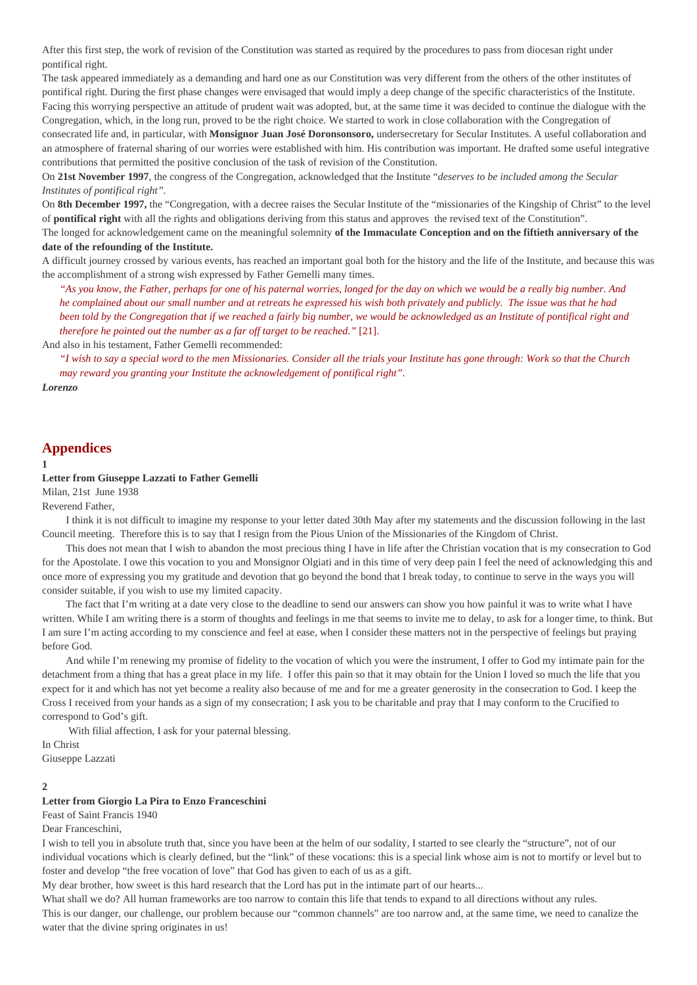After this first step, the work of revision of the Constitution was started as required by the procedures to pass from diocesan right under pontifical right.

The task appeared immediately as a demanding and hard one as our Constitution was very different from the others of the other institutes of pontifical right. During the first phase changes were envisaged that would imply a deep change of the specific characteristics of the Institute. Facing this worrying perspective an attitude of prudent wait was adopted, but, at the same time it was decided to continue the dialogue with the Congregation, which, in the long run, proved to be the right choice. We started to work in close collaboration with the Congregation of consecrated life and, in particular, with **Monsignor Juan José Doronsonsoro,** undersecretary for Secular Institutes. A useful collaboration and an atmosphere of fraternal sharing of our worries were established with him. His contribution was important. He drafted some useful integrative contributions that permitted the positive conclusion of the task of revision of the Constitution.

On **21st November 1997**, the congress of the Congregation, acknowledged that the Institute "*deserves to be included among the Secular Institutes of pontifical right".*

On **8th December 1997,** the "Congregation, with a decree raises the Secular Institute of the "missionaries of the Kingship of Christ" to the level of **pontifical right** with all the rights and obligations deriving from this status and approves the revised text of the Constitution".

The longed for acknowledgement came on the meaningful solemnity **of the Immaculate Conception and on the fiftieth anniversary of the date of the refounding of the Institute.**

A difficult journey crossed by various events, has reached an important goal both for the history and the life of the Institute, and because this was the accomplishment of a strong wish expressed by Father Gemelli many times.

*"As you know, the Father, perhaps for one of his paternal worries, longed for the day on which we would be a really big number. And he complained about our small number and at retreats he expressed his wish both privately and publicly. The issue was that he had*  been told by the Congregation that if we reached a fairly big number, we would be acknowledged as an Institute of pontifical right and *therefore he pointed out the number as a far off target to be reached."* [21].

And also in his testament, Father Gemelli recommended:

*"I wish to say a special word to the men Missionaries. Consider all the trials your Institute has gone through: Work so that the Church may reward you granting your Institute the acknowledgement of pontifical right".*

*Lorenzo*

# **Appendices**

#### **1**

#### **Letter from Giuseppe Lazzati to Father Gemelli**

Milan, 21st June 1938

Reverend Father,

 I think it is not difficult to imagine my response to your letter dated 30th May after my statements and the discussion following in the last Council meeting. Therefore this is to say that I resign from the Pious Union of the Missionaries of the Kingdom of Christ.

 This does not mean that I wish to abandon the most precious thing I have in life after the Christian vocation that is my consecration to God for the Apostolate. I owe this vocation to you and Monsignor Olgiati and in this time of very deep pain I feel the need of acknowledging this and once more of expressing you my gratitude and devotion that go beyond the bond that I break today, to continue to serve in the ways you will consider suitable, if you wish to use my limited capacity.

 The fact that I'm writing at a date very close to the deadline to send our answers can show you how painful it was to write what I have written. While I am writing there is a storm of thoughts and feelings in me that seems to invite me to delay, to ask for a longer time, to think. But I am sure I'm acting according to my conscience and feel at ease, when I consider these matters not in the perspective of feelings but praying before God.

 And while I'm renewing my promise of fidelity to the vocation of which you were the instrument, I offer to God my intimate pain for the detachment from a thing that has a great place in my life. I offer this pain so that it may obtain for the Union I loved so much the life that you expect for it and which has not yet become a reality also because of me and for me a greater generosity in the consecration to God. I keep the Cross I received from your hands as a sign of my consecration; I ask you to be charitable and pray that I may conform to the Crucified to correspond to God's gift.

With filial affection, I ask for your paternal blessing.

In Christ Giuseppe Lazzati

### **2**

## **Letter from Giorgio La Pira to Enzo Franceschini**

Feast of Saint Francis 1940

Dear Franceschini,

I wish to tell you in absolute truth that, since you have been at the helm of our sodality, I started to see clearly the "structure", not of our individual vocations which is clearly defined, but the "link" of these vocations: this is a special link whose aim is not to mortify or level but to foster and develop "the free vocation of love" that God has given to each of us as a gift.

My dear brother, how sweet is this hard research that the Lord has put in the intimate part of our hearts...

What shall we do? All human frameworks are too narrow to contain this life that tends to expand to all directions without any rules. This is our danger, our challenge, our problem because our "common channels" are too narrow and, at the same time, we need to canalize the water that the divine spring originates in us!